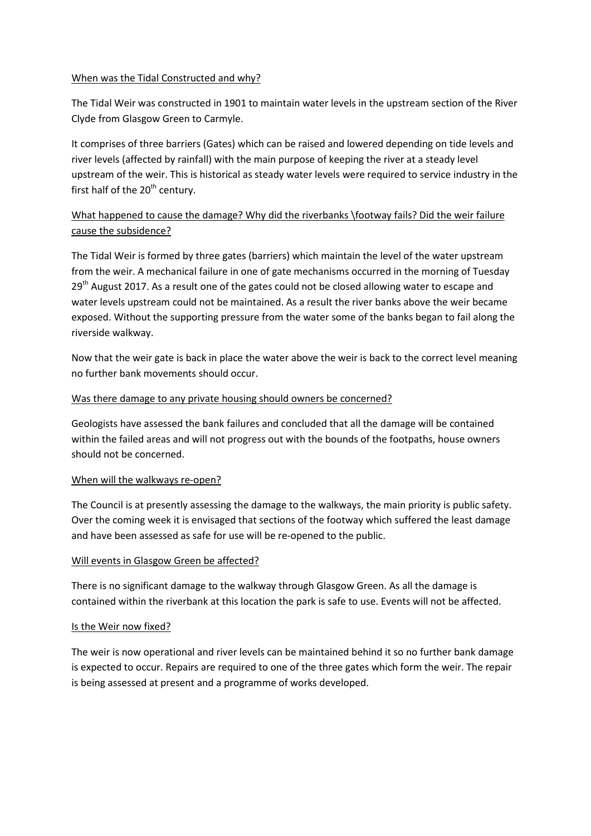#### When was the Tidal Constructed and why?

The Tidal Weir was constructed in 1901 to maintain water levels in the upstream section of the River Clyde from Glasgow Green to Carmyle.

It comprises of three barriers (Gates) which can be raised and lowered depending on tide levels and river levels (affected by rainfall) with the main purpose of keeping the river at a steady level upstream of the weir. This is historical as steady water levels were required to service industry in the first half of the  $20<sup>th</sup>$  century.

# What happened to cause the damage? Why did the riverbanks \footway fails? Did the weir failure cause the subsidence?

The Tidal Weir is formed by three gates (barriers) which maintain the level of the water upstream from the weir. A mechanical failure in one of gate mechanisms occurred in the morning of Tuesday 29<sup>th</sup> August 2017. As a result one of the gates could not be closed allowing water to escape and water levels upstream could not be maintained. As a result the river banks above the weir became exposed. Without the supporting pressure from the water some of the banks began to fail along the riverside walkway.

Now that the weir gate is back in place the water above the weir is back to the correct level meaning no further bank movements should occur.

# Was there damage to any private housing should owners be concerned?

Geologists have assessed the bank failures and concluded that all the damage will be contained within the failed areas and will not progress out with the bounds of the footpaths, house owners should not be concerned.

# When will the walkways re-open?

The Council is at presently assessing the damage to the walkways, the main priority is public safety. Over the coming week it is envisaged that sections of the footway which suffered the least damage and have been assessed as safe for use will be re-opened to the public.

# Will events in Glasgow Green be affected?

There is no significant damage to the walkway through Glasgow Green. As all the damage is contained within the riverbank at this location the park is safe to use. Events will not be affected.

#### Is the Weir now fixed?

The weir is now operational and river levels can be maintained behind it so no further bank damage is expected to occur. Repairs are required to one of the three gates which form the weir. The repair is being assessed at present and a programme of works developed.